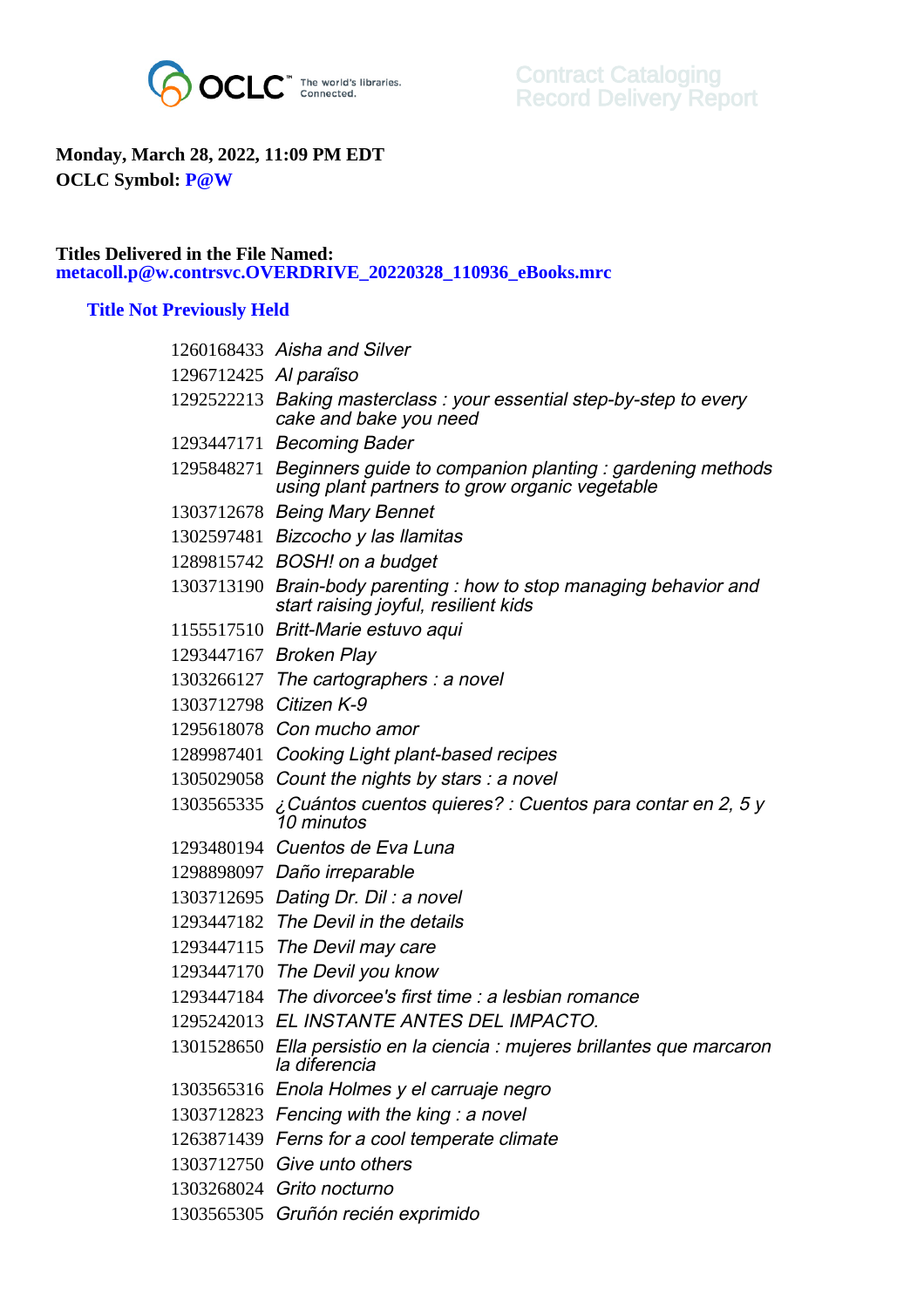

## **Monday, March 28, 2022, 11:09 PM EDT OCLC Symbol: P@W**

## **Titles Delivered in the File Named: metacoll.p@w.contrsvc.OVERDRIVE\_20220328\_110936\_eBooks.mrc**

## **Title Not Previously Held**

|                        | 1260168433 Aisha and Silver                                                                                            |
|------------------------|------------------------------------------------------------------------------------------------------------------------|
| 1296712425 Al paraiso  |                                                                                                                        |
|                        | 1292522213 Baking masterclass: your essential step-by-step to every<br>cake and bake you need                          |
|                        | 1293447171 Becoming Bader                                                                                              |
|                        | 1295848271 Beginners guide to companion planting : gardening methods<br>using plant partners to grow organic vegetable |
|                        | 1303712678 Being Mary Bennet                                                                                           |
|                        | 1302597481 Bizcocho y las llamitas                                                                                     |
|                        | 1289815742 BOSH! on a budget                                                                                           |
|                        | 1303713190 Brain-body parenting: how to stop managing behavior and<br>start raising joyful, resilient kids             |
|                        | 1155517510 Britt-Marie estuvo aqui                                                                                     |
|                        | 1293447167 Broken Play                                                                                                 |
|                        | $1303266127$ The cartographers : a novel                                                                               |
| 1303712798 Citizen K-9 |                                                                                                                        |
|                        | 1295618078 Con mucho amor                                                                                              |
|                        | 1289987401 Cooking Light plant-based recipes                                                                           |
|                        | 1305029058 Count the nights by stars: a novel                                                                          |
| 1303565335             | ¿Cuántos cuentos quieres? : Cuentos para contar en 2, 5 y<br>10 minutos                                                |
|                        | 1293480194 Cuentos de Eva Luna                                                                                         |
|                        | 1298898097 Daño irreparable                                                                                            |
|                        | 1303712695 Dating Dr. Dil: a novel                                                                                     |
|                        | 1293447182 The Devil in the details                                                                                    |
|                        | 1293447115 The Devil may care                                                                                          |
|                        | 1293447170 The Devil you know                                                                                          |
|                        | 1293447184 The divorcee's first time : a lesbian romance                                                               |
|                        | 1295242013 EL INSTANTE ANTES DEL IMPACTO.                                                                              |
|                        | 1301528650 Ella persistio en la ciencia : mujeres brillantes que marcaron<br>la diferencia                             |
|                        | 1303565316 Enola Holmes y el carruaje negro                                                                            |
|                        | 1303712823 Fencing with the king: a novel                                                                              |
|                        | 1263871439 Ferns for a cool temperate climate                                                                          |
|                        | 1303712750 Give unto others                                                                                            |
|                        | 1303268024 Grito nocturno                                                                                              |
|                        | 1303565305 Gruñón recién exprimido                                                                                     |
|                        |                                                                                                                        |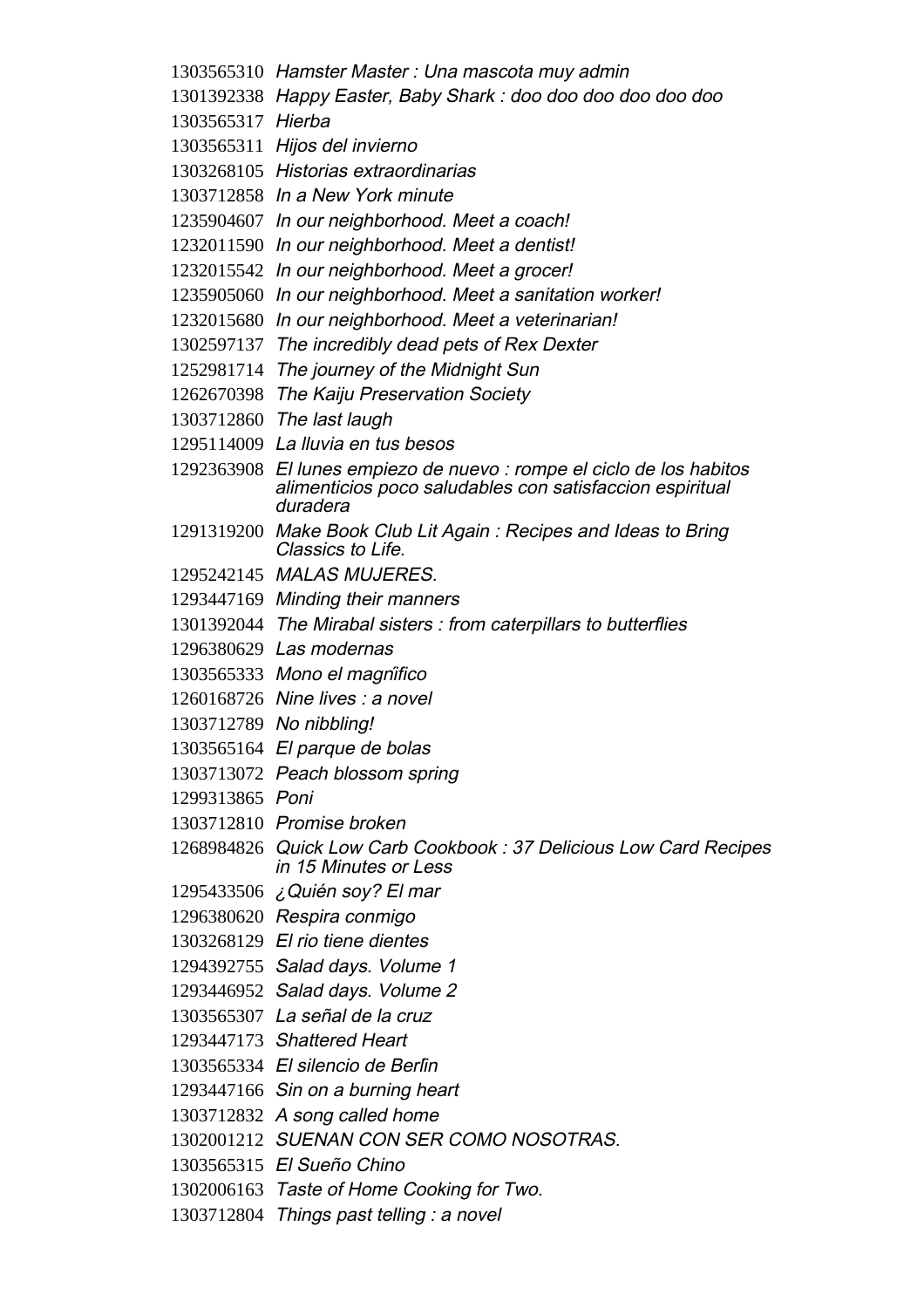Hamster Master : Una mascota muy admin Happy Easter, Baby Shark : doo doo doo doo doo doo Hierba Hijos del invierno Historias extraordinarias In a New York minute In our neighborhood. Meet a coach! In our neighborhood. Meet a dentist! In our neighborhood. Meet a grocer! In our neighborhood. Meet a sanitation worker! In our neighborhood. Meet a veterinarian! The incredibly dead pets of Rex Dexter The journey of the Midnight Sun The Kaiju Preservation Society The last laugh La lluvia en tus besos El lunes empiezo de nuevo : rompe el ciclo de los habitos alimenticios poco saludables con satisfaccion espiritual duradera Make Book Club Lit Again : Recipes and Ideas to Bring Classics to Life. MALAS MUJERES. Minding their manners The Mirabal sisters : from caterpillars to butterflies Las modernas Mono el magnífico Nine lives : a novel No nibbling! El parque de bolas Peach blossom spring Poni Promise broken Quick Low Carb Cookbook : 37 Delicious Low Card Recipes in 15 Minutes or Less ¿Quién soy? El mar Respira conmigo El rio tiene dientes Salad days. Volume 1 Salad days. Volume 2 La señal de la cruz Shattered Heart El silencio de Berlín Sin on a burning heart A song called home SUENAN CON SER COMO NOSOTRAS. El Sueño Chino Taste of Home Cooking for Two. Things past telling : a novel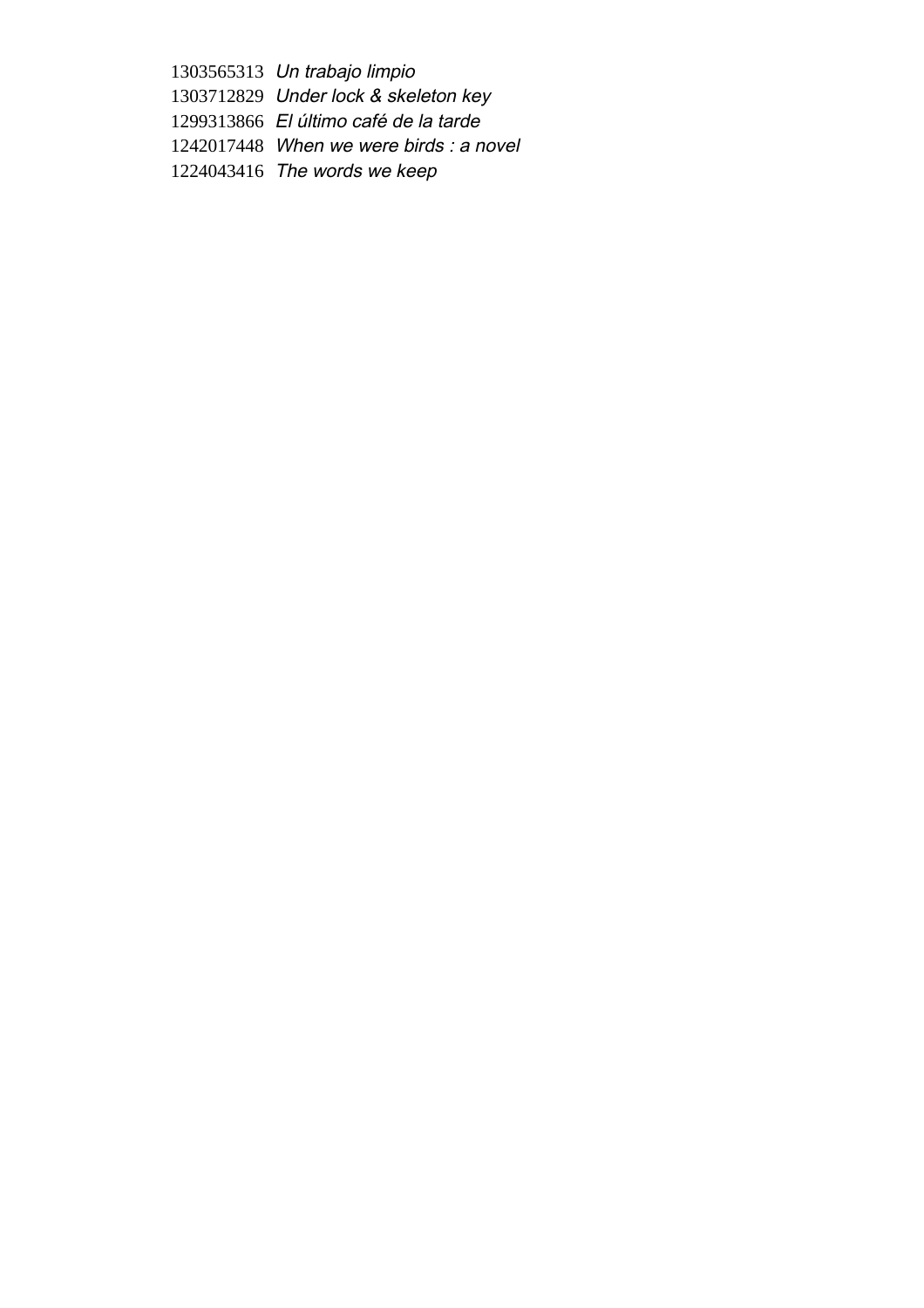Un trabajo limpio Under lock & skeleton key El último café de la tarde When we were birds : a novel

The words we keep